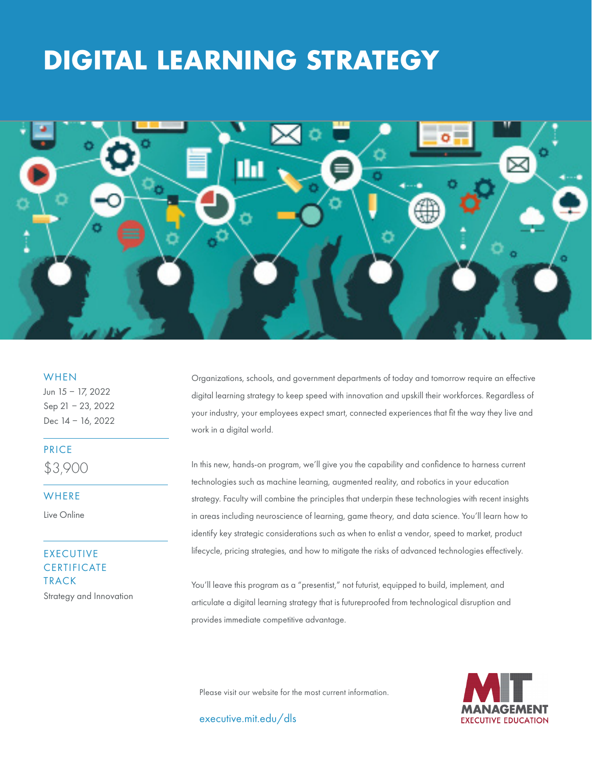# **DIGITAL LEARNING STRATEGY**



#### **WHEN**

Jun 15 – 17, 2022 Sep 21 – 23, 2022 Dec 14 – 16, 2022

# PRICE

\$3,900

#### **WHERE**

Live Online

# EXECUTIVE **CERTIFICATE** TRACK Strategy and Innovation

Organizations, schools, and government departments of today and tomorrow require an effective digital learning strategy to keep speed with innovation and upskill their workforces. Regardless of your industry, your employees expect smart, connected experiences that fit the way they live and work in a digital world.

In this new, hands-on program, we'll give you the capability and confidence to harness current technologies such as machine learning, augmented reality, and robotics in your education strategy. Faculty will combine the principles that underpin these technologies with recent insights in areas including neuroscience of learning, game theory, and data science. You'll learn how to identify key strategic considerations such as when to enlist a vendor, speed to market, product lifecycle, pricing strategies, and how to mitigate the risks of advanced technologies effectively.

You'll leave this program as a "presentist," not futurist, equipped to build, implement, and articulate a digital learning strategy that is futureproofed from technological disruption and provides immediate competitive advantage.

Please visit our website for the most current information.